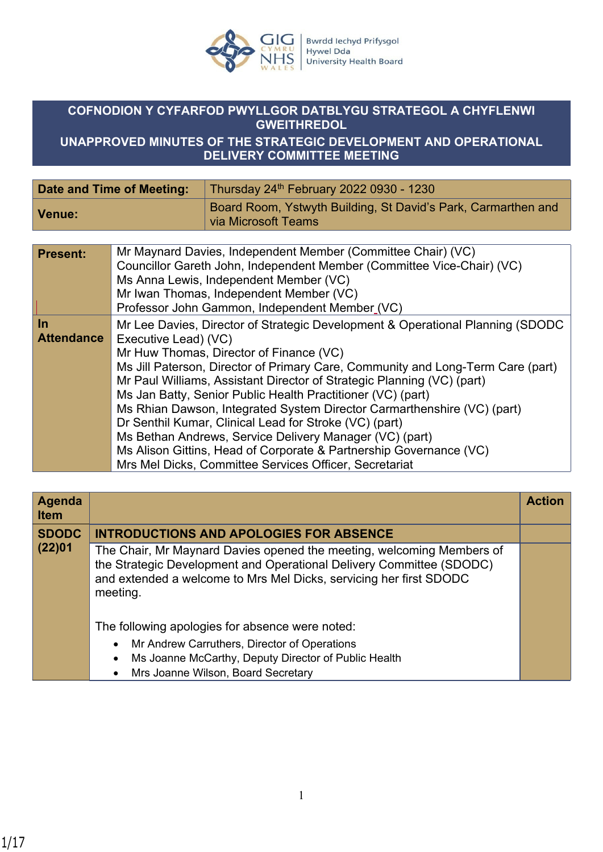

## **COFNODION Y CYFARFOD PWYLLGOR DATBLYGU STRATEGOL A CHYFLENWI GWEITHREDOL**

## **UNAPPROVED MINUTES OF THE STRATEGIC DEVELOPMENT AND OPERATIONAL DELIVERY COMMITTEE MEETING**

| Date and Time of Meeting: | Thursday 24th February 2022 0930 - 1230                                              |
|---------------------------|--------------------------------------------------------------------------------------|
| Venue:                    | Board Room, Ystwyth Building, St David's Park, Carmarthen and<br>via Microsoft Teams |

| <b>Present:</b>                | Mr Maynard Davies, Independent Member (Committee Chair) (VC)<br>Councillor Gareth John, Independent Member (Committee Vice-Chair) (VC)<br>Ms Anna Lewis, Independent Member (VC)<br>Mr Iwan Thomas, Independent Member (VC)<br>Professor John Gammon, Independent Member (VC)                                                                                                                                                                                                                                                                                                                                                                                                                                 |
|--------------------------------|---------------------------------------------------------------------------------------------------------------------------------------------------------------------------------------------------------------------------------------------------------------------------------------------------------------------------------------------------------------------------------------------------------------------------------------------------------------------------------------------------------------------------------------------------------------------------------------------------------------------------------------------------------------------------------------------------------------|
| <u>In</u><br><b>Attendance</b> | Mr Lee Davies, Director of Strategic Development & Operational Planning (SDODC<br>Executive Lead) (VC)<br>Mr Huw Thomas, Director of Finance (VC)<br>Ms Jill Paterson, Director of Primary Care, Community and Long-Term Care (part)<br>Mr Paul Williams, Assistant Director of Strategic Planning (VC) (part)<br>Ms Jan Batty, Senior Public Health Practitioner (VC) (part)<br>Ms Rhian Dawson, Integrated System Director Carmarthenshire (VC) (part)<br>Dr Senthil Kumar, Clinical Lead for Stroke (VC) (part)<br>Ms Bethan Andrews, Service Delivery Manager (VC) (part)<br>Ms Alison Gittins, Head of Corporate & Partnership Governance (VC)<br>Mrs Mel Dicks, Committee Services Officer, Secretariat |

| <b>Agenda</b><br><b>Item</b> |                                                                                                                                                                                                                                 | <b>Action</b> |
|------------------------------|---------------------------------------------------------------------------------------------------------------------------------------------------------------------------------------------------------------------------------|---------------|
| <b>SDODC</b>                 | <b>INTRODUCTIONS AND APOLOGIES FOR ABSENCE</b>                                                                                                                                                                                  |               |
| (22)01                       | The Chair, Mr Maynard Davies opened the meeting, welcoming Members of<br>the Strategic Development and Operational Delivery Committee (SDODC)<br>and extended a welcome to Mrs Mel Dicks, servicing her first SDODC<br>meeting. |               |
|                              | The following apologies for absence were noted:                                                                                                                                                                                 |               |
|                              | Mr Andrew Carruthers, Director of Operations<br>$\bullet$                                                                                                                                                                       |               |
|                              | Ms Joanne McCarthy, Deputy Director of Public Health<br>$\bullet$                                                                                                                                                               |               |
|                              | Mrs Joanne Wilson, Board Secretary<br>$\bullet$                                                                                                                                                                                 |               |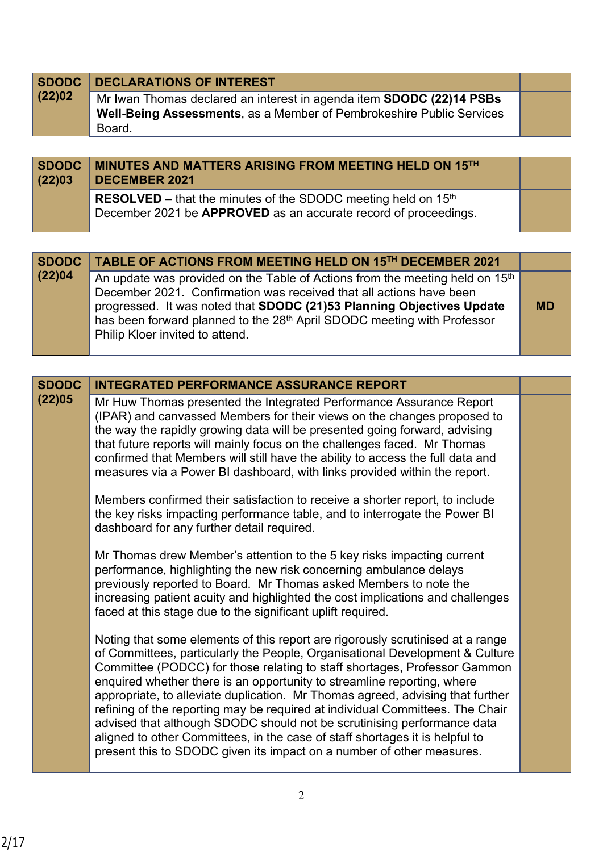| <b>SDODC</b> | <b>DECLARATIONS OF INTEREST</b>                                                       |  |
|--------------|---------------------------------------------------------------------------------------|--|
| (22)02       | Mr Iwan Thomas declared an interest in agenda item SDODC (22)14 PSBs                  |  |
|              | <b>Well-Being Assessments, as a Member of Pembrokeshire Public Services</b><br>Board. |  |
|              |                                                                                       |  |

| <b>SDODC</b><br>(22)03 | MINUTES AND MATTERS ARISING FROM MEETING HELD ON 15TH<br><b>DECEMBER 2021</b>                                                                |  |
|------------------------|----------------------------------------------------------------------------------------------------------------------------------------------|--|
|                        | RESOLVED – that the minutes of the SDODC meeting held on 15 <sup>th</sup><br>December 2021 be APPROVED as an accurate record of proceedings. |  |

|        | SDODC   TABLE OF ACTIONS FROM MEETING HELD ON 15TH DECEMBER 2021                                                                                                                                                                                                                                                                                                   |           |
|--------|--------------------------------------------------------------------------------------------------------------------------------------------------------------------------------------------------------------------------------------------------------------------------------------------------------------------------------------------------------------------|-----------|
| (22)04 | An update was provided on the Table of Actions from the meeting held on 15 <sup>th</sup><br>December 2021. Confirmation was received that all actions have been<br>progressed. It was noted that SDODC (21)53 Planning Objectives Update<br>has been forward planned to the 28 <sup>th</sup> April SDODC meeting with Professor<br>Philip Kloer invited to attend. | <b>MD</b> |
|        |                                                                                                                                                                                                                                                                                                                                                                    |           |

| <b>SDODC</b> | <b>INTEGRATED PERFORMANCE ASSURANCE REPORT</b>                                                                                                                                                                                                                                                                                                                                                                                                                                                                                                                                                                                                                                                                                |  |
|--------------|-------------------------------------------------------------------------------------------------------------------------------------------------------------------------------------------------------------------------------------------------------------------------------------------------------------------------------------------------------------------------------------------------------------------------------------------------------------------------------------------------------------------------------------------------------------------------------------------------------------------------------------------------------------------------------------------------------------------------------|--|
| (22)05       | Mr Huw Thomas presented the Integrated Performance Assurance Report<br>(IPAR) and canvassed Members for their views on the changes proposed to<br>the way the rapidly growing data will be presented going forward, advising<br>that future reports will mainly focus on the challenges faced. Mr Thomas<br>confirmed that Members will still have the ability to access the full data and<br>measures via a Power BI dashboard, with links provided within the report.                                                                                                                                                                                                                                                       |  |
|              | Members confirmed their satisfaction to receive a shorter report, to include<br>the key risks impacting performance table, and to interrogate the Power BI<br>dashboard for any further detail required.                                                                                                                                                                                                                                                                                                                                                                                                                                                                                                                      |  |
|              | Mr Thomas drew Member's attention to the 5 key risks impacting current<br>performance, highlighting the new risk concerning ambulance delays<br>previously reported to Board. Mr Thomas asked Members to note the<br>increasing patient acuity and highlighted the cost implications and challenges<br>faced at this stage due to the significant uplift required.                                                                                                                                                                                                                                                                                                                                                            |  |
|              | Noting that some elements of this report are rigorously scrutinised at a range<br>of Committees, particularly the People, Organisational Development & Culture<br>Committee (PODCC) for those relating to staff shortages, Professor Gammon<br>enquired whether there is an opportunity to streamline reporting, where<br>appropriate, to alleviate duplication. Mr Thomas agreed, advising that further<br>refining of the reporting may be required at individual Committees. The Chair<br>advised that although SDODC should not be scrutinising performance data<br>aligned to other Committees, in the case of staff shortages it is helpful to<br>present this to SDODC given its impact on a number of other measures. |  |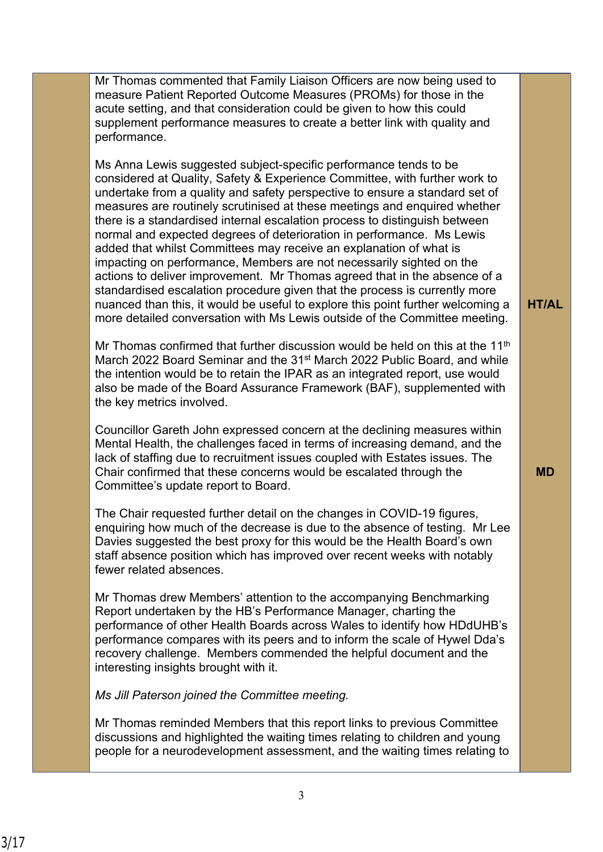Mr Thomas commented that Family Liaison Officers are now being used to measure Patient Reported Outcome Measures (PROMs) for those in the acute setting, and that consideration could be given to how this could supplement performance measures to create a better link with quality and performance.

Ms Anna Lewis suggested subject-specific performance tends to be considered at Quality, Safety & Experience Committee, with further work to undertake from a quality and safety perspective to ensure a standard set of measures are routinely scrutinised at these meetings and enquired whether there is a standardised internal escalation process to distinguish between normal and expected degrees of deterioration in performance. Ms Lewis added that whilst Committees may receive an explanation of what is impacting on performance, Members are not necessarily sighted on the actions to deliver improvement. Mr Thomas agreed that in the absence of a standardised escalation procedure given that the process is currently more nuanced than this, it would be useful to explore this point further welcoming a more detailed conversation with Ms Lewis outside of the Committee meeting.

Mr Thomas confirmed that further discussion would be held on this at the 11<sup>th</sup> March 2022 Board Seminar and the 31<sup>st</sup> March 2022 Public Board, and while the intention would be to retain the IPAR as an integrated report, use would also be made of the Board Assurance Framework (BAF), supplemented with the key metrics involved.

Councillor Gareth John expressed concern at the declining measures within Mental Health, the challenges faced in terms of increasing demand, and the lack of staffing due to recruitment issues coupled with Estates issues. The Chair confirmed that these concerns would be escalated through the Committee's update report to Board.

The Chair requested further detail on the changes in COVID-19 figures, enquiring how much of the decrease is due to the absence of testing. Mr Lee Davies suggested the best proxy for this would be the Health Board's own staff absence position which has improved over recent weeks with notably fewer related absences.

Mr Thomas drew Members' attention to the accompanying Benchmarking Report undertaken by the HB's Performance Manager, charting the performance of other Health Boards across Wales to identify how HDdUHB's performance compares with its peers and to inform the scale of Hywel Dda's recovery challenge. Members commended the helpful document and the interesting insights brought with it.

*Ms Jill Paterson joined the Committee meeting.*

Mr Thomas reminded Members that this report links to previous Committee discussions and highlighted the waiting times relating to children and young people for a neurodevelopment assessment, and the waiting times relating to **HT/AL**

**MD**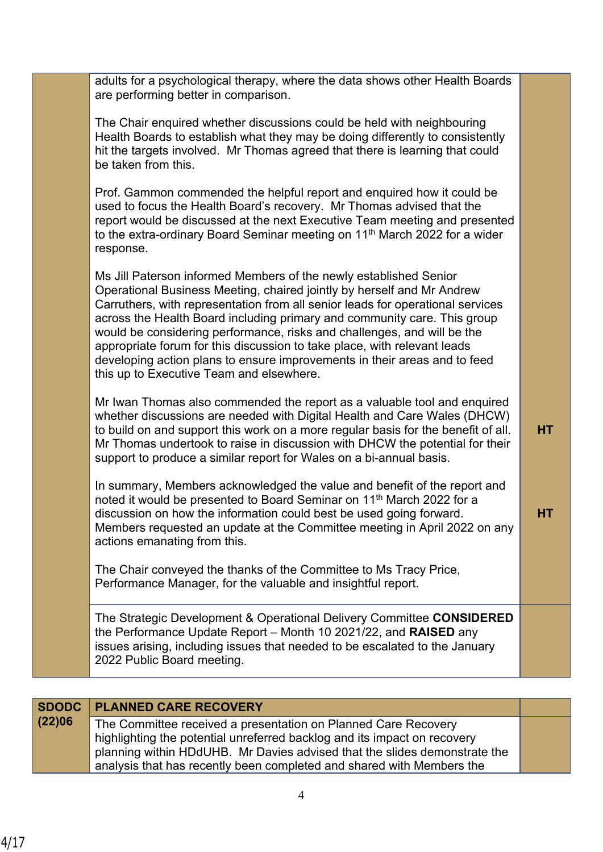| adults for a psychological therapy, where the data shows other Health Boards<br>are performing better in comparison.                                                                                                                                                                                                                                                                                                                                                                                                                                                                      |           |
|-------------------------------------------------------------------------------------------------------------------------------------------------------------------------------------------------------------------------------------------------------------------------------------------------------------------------------------------------------------------------------------------------------------------------------------------------------------------------------------------------------------------------------------------------------------------------------------------|-----------|
| The Chair enquired whether discussions could be held with neighbouring<br>Health Boards to establish what they may be doing differently to consistently<br>hit the targets involved. Mr Thomas agreed that there is learning that could<br>be taken from this.                                                                                                                                                                                                                                                                                                                            |           |
| Prof. Gammon commended the helpful report and enquired how it could be<br>used to focus the Health Board's recovery. Mr Thomas advised that the<br>report would be discussed at the next Executive Team meeting and presented<br>to the extra-ordinary Board Seminar meeting on 11 <sup>th</sup> March 2022 for a wider<br>response.                                                                                                                                                                                                                                                      |           |
| Ms Jill Paterson informed Members of the newly established Senior<br>Operational Business Meeting, chaired jointly by herself and Mr Andrew<br>Carruthers, with representation from all senior leads for operational services<br>across the Health Board including primary and community care. This group<br>would be considering performance, risks and challenges, and will be the<br>appropriate forum for this discussion to take place, with relevant leads<br>developing action plans to ensure improvements in their areas and to feed<br>this up to Executive Team and elsewhere. |           |
| Mr Iwan Thomas also commended the report as a valuable tool and enquired<br>whether discussions are needed with Digital Health and Care Wales (DHCW)<br>to build on and support this work on a more regular basis for the benefit of all.<br>Mr Thomas undertook to raise in discussion with DHCW the potential for their<br>support to produce a similar report for Wales on a bi-annual basis.                                                                                                                                                                                          | <b>HT</b> |
| In summary, Members acknowledged the value and benefit of the report and<br>noted it would be presented to Board Seminar on 11 <sup>th</sup> March 2022 for a<br>discussion on how the information could best be used going forward.<br>Members requested an update at the Committee meeting in April 2022 on any<br>actions emanating from this.                                                                                                                                                                                                                                         | <b>HT</b> |
| The Chair conveyed the thanks of the Committee to Ms Tracy Price,<br>Performance Manager, for the valuable and insightful report.                                                                                                                                                                                                                                                                                                                                                                                                                                                         |           |
| The Strategic Development & Operational Delivery Committee CONSIDERED<br>the Performance Update Report - Month 10 2021/22, and RAISED any<br>issues arising, including issues that needed to be escalated to the January<br>2022 Public Board meeting.                                                                                                                                                                                                                                                                                                                                    |           |
|                                                                                                                                                                                                                                                                                                                                                                                                                                                                                                                                                                                           |           |

|        | <b>SDODC   PLANNED CARE RECOVERY</b>                                      |  |
|--------|---------------------------------------------------------------------------|--|
| (22)06 | The Committee received a presentation on Planned Care Recovery            |  |
|        | highlighting the potential unreferred backlog and its impact on recovery  |  |
|        | planning within HDdUHB. Mr Davies advised that the slides demonstrate the |  |
|        | analysis that has recently been completed and shared with Members the     |  |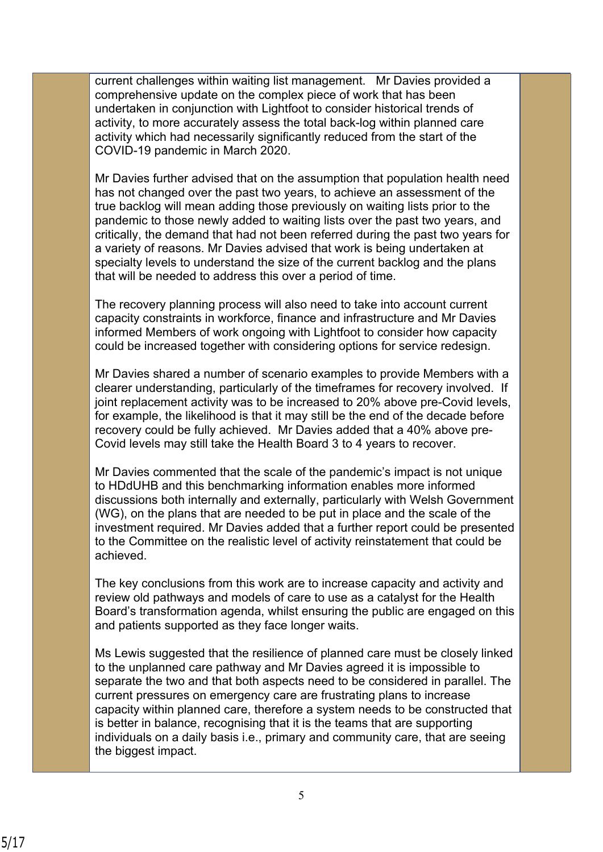current challenges within waiting list management. Mr Davies provided a comprehensive update on the complex piece of work that has been undertaken in conjunction with Lightfoot to consider historical trends of activity, to more accurately assess the total back-log within planned care activity which had necessarily significantly reduced from the start of the COVID-19 pandemic in March 2020.

Mr Davies further advised that on the assumption that population health need has not changed over the past two years, to achieve an assessment of the true backlog will mean adding those previously on waiting lists prior to the pandemic to those newly added to waiting lists over the past two years, and critically, the demand that had not been referred during the past two years for a variety of reasons. Mr Davies advised that work is being undertaken at specialty levels to understand the size of the current backlog and the plans that will be needed to address this over a period of time.

The recovery planning process will also need to take into account current capacity constraints in workforce, finance and infrastructure and Mr Davies informed Members of work ongoing with Lightfoot to consider how capacity could be increased together with considering options for service redesign.

Mr Davies shared a number of scenario examples to provide Members with a clearer understanding, particularly of the timeframes for recovery involved. If joint replacement activity was to be increased to 20% above pre-Covid levels, for example, the likelihood is that it may still be the end of the decade before recovery could be fully achieved. Mr Davies added that a 40% above pre-Covid levels may still take the Health Board 3 to 4 years to recover.

Mr Davies commented that the scale of the pandemic's impact is not unique to HDdUHB and this benchmarking information enables more informed discussions both internally and externally, particularly with Welsh Government (WG), on the plans that are needed to be put in place and the scale of the investment required. Mr Davies added that a further report could be presented to the Committee on the realistic level of activity reinstatement that could be achieved.

The key conclusions from this work are to increase capacity and activity and review old pathways and models of care to use as a catalyst for the Health Board's transformation agenda, whilst ensuring the public are engaged on this and patients supported as they face longer waits.

Ms Lewis suggested that the resilience of planned care must be closely linked to the unplanned care pathway and Mr Davies agreed it is impossible to separate the two and that both aspects need to be considered in parallel. The current pressures on emergency care are frustrating plans to increase capacity within planned care, therefore a system needs to be constructed that is better in balance, recognising that it is the teams that are supporting individuals on a daily basis i.e., primary and community care, that are seeing the biggest impact.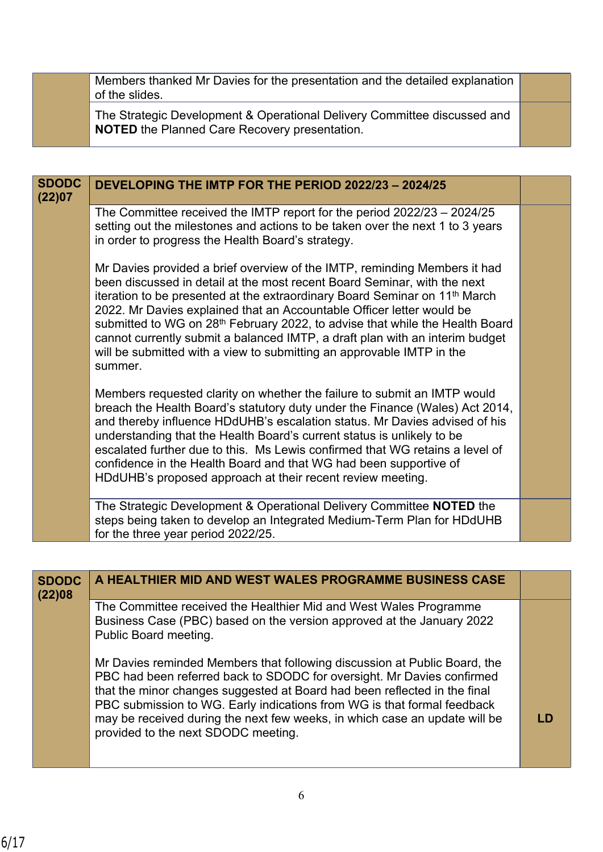Members thanked Mr Davies for the presentation and the detailed explanation of the slides.

The Strategic Development & Operational Delivery Committee discussed and **NOTED** the Planned Care Recovery presentation.

| <b>SDODC</b><br>(22)07 | DEVELOPING THE IMTP FOR THE PERIOD 2022/23 - 2024/25                                                                                                                                                                                                                                                                                                                                                                                                                                                                                                                                     |  |
|------------------------|------------------------------------------------------------------------------------------------------------------------------------------------------------------------------------------------------------------------------------------------------------------------------------------------------------------------------------------------------------------------------------------------------------------------------------------------------------------------------------------------------------------------------------------------------------------------------------------|--|
|                        | The Committee received the IMTP report for the period 2022/23 - 2024/25<br>setting out the milestones and actions to be taken over the next 1 to 3 years<br>in order to progress the Health Board's strategy.                                                                                                                                                                                                                                                                                                                                                                            |  |
|                        | Mr Davies provided a brief overview of the IMTP, reminding Members it had<br>been discussed in detail at the most recent Board Seminar, with the next<br>iteration to be presented at the extraordinary Board Seminar on 11 <sup>th</sup> March<br>2022. Mr Davies explained that an Accountable Officer letter would be<br>submitted to WG on 28 <sup>th</sup> February 2022, to advise that while the Health Board<br>cannot currently submit a balanced IMTP, a draft plan with an interim budget<br>will be submitted with a view to submitting an approvable IMTP in the<br>summer. |  |
|                        | Members requested clarity on whether the failure to submit an IMTP would<br>breach the Health Board's statutory duty under the Finance (Wales) Act 2014,<br>and thereby influence HDdUHB's escalation status. Mr Davies advised of his<br>understanding that the Health Board's current status is unlikely to be<br>escalated further due to this. Ms Lewis confirmed that WG retains a level of<br>confidence in the Health Board and that WG had been supportive of<br>HDdUHB's proposed approach at their recent review meeting.                                                      |  |
|                        | The Strategic Development & Operational Delivery Committee NOTED the<br>steps being taken to develop an Integrated Medium-Term Plan for HDdUHB<br>for the three year period 2022/25.                                                                                                                                                                                                                                                                                                                                                                                                     |  |

| <b>SDODC</b><br>(22)08 | A HEALTHIER MID AND WEST WALES PROGRAMME BUSINESS CASE                                                                                                                                                                                                                                                                                                                                                                           |  |
|------------------------|----------------------------------------------------------------------------------------------------------------------------------------------------------------------------------------------------------------------------------------------------------------------------------------------------------------------------------------------------------------------------------------------------------------------------------|--|
|                        | The Committee received the Healthier Mid and West Wales Programme<br>Business Case (PBC) based on the version approved at the January 2022<br>Public Board meeting.                                                                                                                                                                                                                                                              |  |
|                        | Mr Davies reminded Members that following discussion at Public Board, the<br>PBC had been referred back to SDODC for oversight. Mr Davies confirmed<br>that the minor changes suggested at Board had been reflected in the final<br>PBC submission to WG. Early indications from WG is that formal feedback<br>may be received during the next few weeks, in which case an update will be<br>provided to the next SDODC meeting. |  |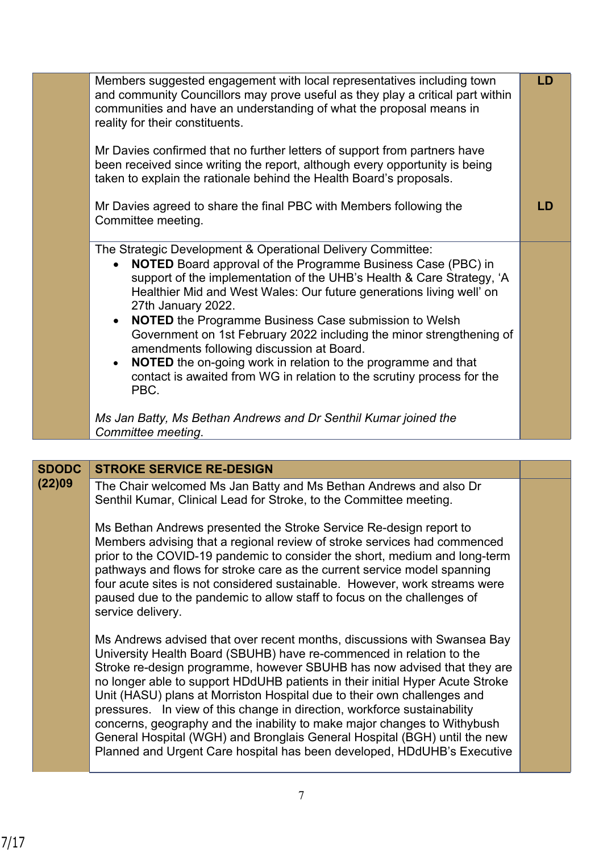|              | Members suggested engagement with local representatives including town<br>and community Councillors may prove useful as they play a critical part within<br>communities and have an understanding of what the proposal means in<br>reality for their constituents.<br>Mr Davies confirmed that no further letters of support from partners have                                                                                                                                                                                                                                                                                                         | <b>LD</b> |
|--------------|---------------------------------------------------------------------------------------------------------------------------------------------------------------------------------------------------------------------------------------------------------------------------------------------------------------------------------------------------------------------------------------------------------------------------------------------------------------------------------------------------------------------------------------------------------------------------------------------------------------------------------------------------------|-----------|
|              | been received since writing the report, although every opportunity is being<br>taken to explain the rationale behind the Health Board's proposals.                                                                                                                                                                                                                                                                                                                                                                                                                                                                                                      |           |
|              | Mr Davies agreed to share the final PBC with Members following the<br>Committee meeting.                                                                                                                                                                                                                                                                                                                                                                                                                                                                                                                                                                | <b>LD</b> |
|              | The Strategic Development & Operational Delivery Committee:<br>NOTED Board approval of the Programme Business Case (PBC) in<br>support of the implementation of the UHB's Health & Care Strategy, 'A<br>Healthier Mid and West Wales: Our future generations living well' on<br>27th January 2022.<br><b>NOTED</b> the Programme Business Case submission to Welsh<br>$\bullet$<br>Government on 1st February 2022 including the minor strengthening of<br>amendments following discussion at Board.<br>NOTED the on-going work in relation to the programme and that<br>contact is awaited from WG in relation to the scrutiny process for the<br>PBC. |           |
|              | Ms Jan Batty, Ms Bethan Andrews and Dr Senthil Kumar joined the<br>Committee meeting.                                                                                                                                                                                                                                                                                                                                                                                                                                                                                                                                                                   |           |
|              |                                                                                                                                                                                                                                                                                                                                                                                                                                                                                                                                                                                                                                                         |           |
| <b>SDODC</b> | <b>STROKE SERVICE RE-DESIGN</b>                                                                                                                                                                                                                                                                                                                                                                                                                                                                                                                                                                                                                         |           |
| (22)09       | The Chair welcomed Ms Jan Batty and Ms Bethan Andrews and also Dr<br>Senthil Kumar, Clinical Lead for Stroke, to the Committee meeting.                                                                                                                                                                                                                                                                                                                                                                                                                                                                                                                 |           |

Ms Bethan Andrews presented the Stroke Service Re-design report to Members advising that a regional review of stroke services had commenced prior to the COVID-19 pandemic to consider the short, medium and long-term pathways and flows for stroke care as the current service model spanning four acute sites is not considered sustainable. However, work streams were paused due to the pandemic to allow staff to focus on the challenges of service delivery.

Ms Andrews advised that over recent months, discussions with Swansea Bay University Health Board (SBUHB) have re-commenced in relation to the Stroke re-design programme, however SBUHB has now advised that they are no longer able to support HDdUHB patients in their initial Hyper Acute Stroke Unit (HASU) plans at Morriston Hospital due to their own challenges and pressures. In view of this change in direction, workforce sustainability concerns, geography and the inability to make major changes to Withybush General Hospital (WGH) and Bronglais General Hospital (BGH) until the new Planned and Urgent Care hospital has been developed, HDdUHB's Executive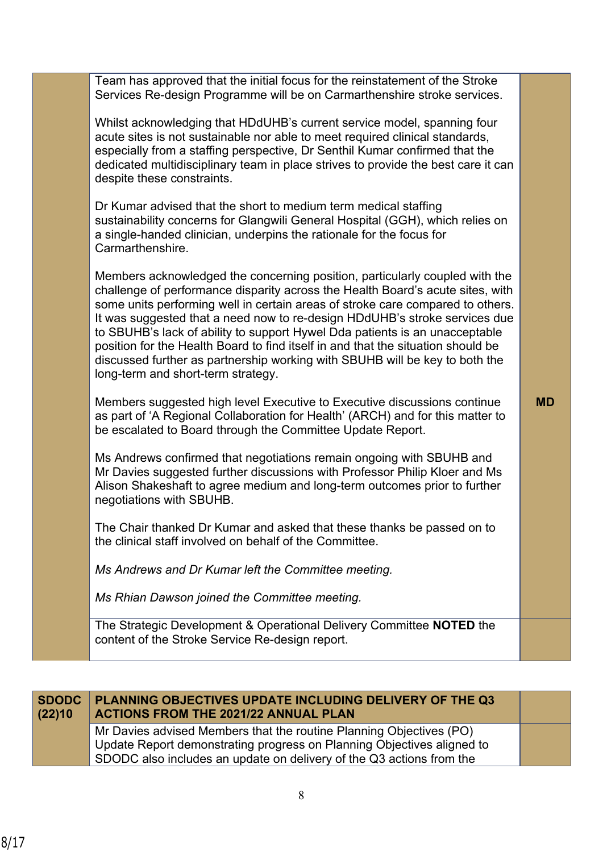| Team has approved that the initial focus for the reinstatement of the Stroke<br>Services Re-design Programme will be on Carmarthenshire stroke services.<br>Whilst acknowledging that HDdUHB's current service model, spanning four<br>acute sites is not sustainable nor able to meet required clinical standards,<br>especially from a staffing perspective, Dr Senthil Kumar confirmed that the<br>dedicated multidisciplinary team in place strives to provide the best care it can<br>despite these constraints.<br>Dr Kumar advised that the short to medium term medical staffing<br>sustainability concerns for Glangwili General Hospital (GGH), which relies on<br>a single-handed clinician, underpins the rationale for the focus for<br>Carmarthenshire.<br>Members acknowledged the concerning position, particularly coupled with the<br>challenge of performance disparity across the Health Board's acute sites, with<br>some units performing well in certain areas of stroke care compared to others.<br>It was suggested that a need now to re-design HDdUHB's stroke services due<br>to SBUHB's lack of ability to support Hywel Dda patients is an unacceptable<br>position for the Health Board to find itself in and that the situation should be<br>discussed further as partnership working with SBUHB will be key to both the<br>long-term and short-term strategy.<br>Members suggested high level Executive to Executive discussions continue<br><b>MD</b><br>as part of 'A Regional Collaboration for Health' (ARCH) and for this matter to<br>be escalated to Board through the Committee Update Report.<br>Ms Andrews confirmed that negotiations remain ongoing with SBUHB and<br>Mr Davies suggested further discussions with Professor Philip Kloer and Ms<br>Alison Shakeshaft to agree medium and long-term outcomes prior to further<br>negotiations with SBUHB.<br>The Chair thanked Dr Kumar and asked that these thanks be passed on to<br>the clinical staff involved on behalf of the Committee.<br>Ms Andrews and Dr Kumar left the Committee meeting.<br>Ms Rhian Dawson joined the Committee meeting.<br>The Strategic Development & Operational Delivery Committee NOTED the<br>content of the Stroke Service Re-design report. |  |  |
|--------------------------------------------------------------------------------------------------------------------------------------------------------------------------------------------------------------------------------------------------------------------------------------------------------------------------------------------------------------------------------------------------------------------------------------------------------------------------------------------------------------------------------------------------------------------------------------------------------------------------------------------------------------------------------------------------------------------------------------------------------------------------------------------------------------------------------------------------------------------------------------------------------------------------------------------------------------------------------------------------------------------------------------------------------------------------------------------------------------------------------------------------------------------------------------------------------------------------------------------------------------------------------------------------------------------------------------------------------------------------------------------------------------------------------------------------------------------------------------------------------------------------------------------------------------------------------------------------------------------------------------------------------------------------------------------------------------------------------------------------------------------------------------------------------------------------------------------------------------------------------------------------------------------------------------------------------------------------------------------------------------------------------------------------------------------------------------------------------------------------------------------------------------------------------------------------------------------------------------------------------------------------------|--|--|
|                                                                                                                                                                                                                                                                                                                                                                                                                                                                                                                                                                                                                                                                                                                                                                                                                                                                                                                                                                                                                                                                                                                                                                                                                                                                                                                                                                                                                                                                                                                                                                                                                                                                                                                                                                                                                                                                                                                                                                                                                                                                                                                                                                                                                                                                                |  |  |
|                                                                                                                                                                                                                                                                                                                                                                                                                                                                                                                                                                                                                                                                                                                                                                                                                                                                                                                                                                                                                                                                                                                                                                                                                                                                                                                                                                                                                                                                                                                                                                                                                                                                                                                                                                                                                                                                                                                                                                                                                                                                                                                                                                                                                                                                                |  |  |
|                                                                                                                                                                                                                                                                                                                                                                                                                                                                                                                                                                                                                                                                                                                                                                                                                                                                                                                                                                                                                                                                                                                                                                                                                                                                                                                                                                                                                                                                                                                                                                                                                                                                                                                                                                                                                                                                                                                                                                                                                                                                                                                                                                                                                                                                                |  |  |
|                                                                                                                                                                                                                                                                                                                                                                                                                                                                                                                                                                                                                                                                                                                                                                                                                                                                                                                                                                                                                                                                                                                                                                                                                                                                                                                                                                                                                                                                                                                                                                                                                                                                                                                                                                                                                                                                                                                                                                                                                                                                                                                                                                                                                                                                                |  |  |
|                                                                                                                                                                                                                                                                                                                                                                                                                                                                                                                                                                                                                                                                                                                                                                                                                                                                                                                                                                                                                                                                                                                                                                                                                                                                                                                                                                                                                                                                                                                                                                                                                                                                                                                                                                                                                                                                                                                                                                                                                                                                                                                                                                                                                                                                                |  |  |
|                                                                                                                                                                                                                                                                                                                                                                                                                                                                                                                                                                                                                                                                                                                                                                                                                                                                                                                                                                                                                                                                                                                                                                                                                                                                                                                                                                                                                                                                                                                                                                                                                                                                                                                                                                                                                                                                                                                                                                                                                                                                                                                                                                                                                                                                                |  |  |
|                                                                                                                                                                                                                                                                                                                                                                                                                                                                                                                                                                                                                                                                                                                                                                                                                                                                                                                                                                                                                                                                                                                                                                                                                                                                                                                                                                                                                                                                                                                                                                                                                                                                                                                                                                                                                                                                                                                                                                                                                                                                                                                                                                                                                                                                                |  |  |
|                                                                                                                                                                                                                                                                                                                                                                                                                                                                                                                                                                                                                                                                                                                                                                                                                                                                                                                                                                                                                                                                                                                                                                                                                                                                                                                                                                                                                                                                                                                                                                                                                                                                                                                                                                                                                                                                                                                                                                                                                                                                                                                                                                                                                                                                                |  |  |
|                                                                                                                                                                                                                                                                                                                                                                                                                                                                                                                                                                                                                                                                                                                                                                                                                                                                                                                                                                                                                                                                                                                                                                                                                                                                                                                                                                                                                                                                                                                                                                                                                                                                                                                                                                                                                                                                                                                                                                                                                                                                                                                                                                                                                                                                                |  |  |
|                                                                                                                                                                                                                                                                                                                                                                                                                                                                                                                                                                                                                                                                                                                                                                                                                                                                                                                                                                                                                                                                                                                                                                                                                                                                                                                                                                                                                                                                                                                                                                                                                                                                                                                                                                                                                                                                                                                                                                                                                                                                                                                                                                                                                                                                                |  |  |

| <b>SDODC</b><br>(22)10 | PLANNING OBJECTIVES UPDATE INCLUDING DELIVERY OF THE Q3<br><b>ACTIONS FROM THE 2021/22 ANNUAL PLAN</b> |
|------------------------|--------------------------------------------------------------------------------------------------------|
|                        | Mr Davies advised Members that the routine Planning Objectives (PO)                                    |
|                        | Update Report demonstrating progress on Planning Objectives aligned to                                 |
|                        | SDODC also includes an update on delivery of the Q3 actions from the                                   |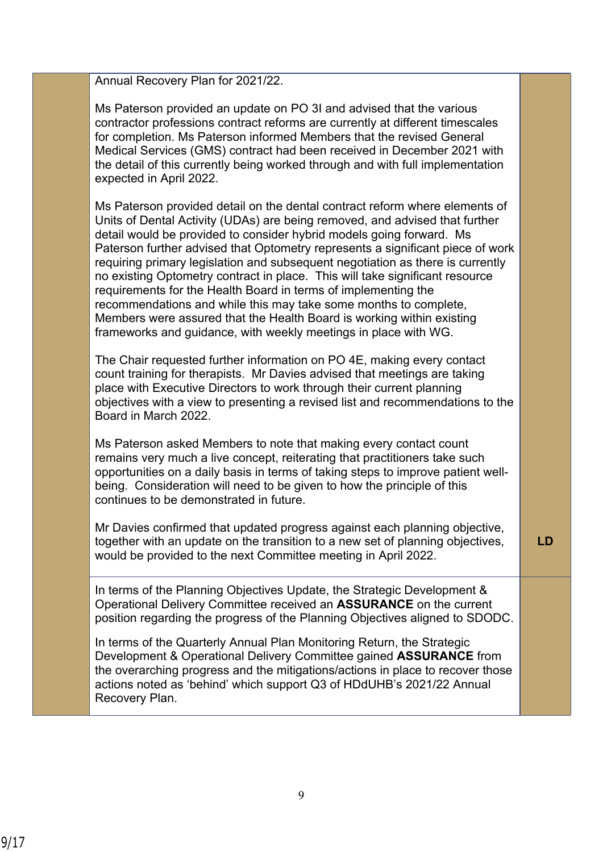Annual Recovery Plan for 2021/22.

Ms Paterson provided an update on PO 3I and advised that the various contractor professions contract reforms are currently at different timescales for completion. Ms Paterson informed Members that the revised General Medical Services (GMS) contract had been received in December 2021 with the detail of this currently being worked through and with full implementation expected in April 2022.

Ms Paterson provided detail on the dental contract reform where elements of Units of Dental Activity (UDAs) are being removed, and advised that further detail would be provided to consider hybrid models going forward. Ms Paterson further advised that Optometry represents a significant piece of work requiring primary legislation and subsequent negotiation as there is currently no existing Optometry contract in place. This will take significant resource requirements for the Health Board in terms of implementing the recommendations and while this may take some months to complete, Members were assured that the Health Board is working within existing frameworks and guidance, with weekly meetings in place with WG.

The Chair requested further information on PO 4E, making every contact count training for therapists. Mr Davies advised that meetings are taking place with Executive Directors to work through their current planning objectives with a view to presenting a revised list and recommendations to the Board in March 2022.

Ms Paterson asked Members to note that making every contact count remains very much a live concept, reiterating that practitioners take such opportunities on a daily basis in terms of taking steps to improve patient wellbeing. Consideration will need to be given to how the principle of this continues to be demonstrated in future.

Mr Davies confirmed that updated progress against each planning objective, together with an update on the transition to a new set of planning objectives, would be provided to the next Committee meeting in April 2022.

**LD**

In terms of the Planning Objectives Update, the Strategic Development & Operational Delivery Committee received an **ASSURANCE** on the current position regarding the progress of the Planning Objectives aligned to SDODC.

In terms of the Quarterly Annual Plan Monitoring Return, the Strategic Development & Operational Delivery Committee gained **ASSURANCE** from the overarching progress and the mitigations/actions in place to recover those actions noted as 'behind' which support Q3 of HDdUHB's 2021/22 Annual Recovery Plan.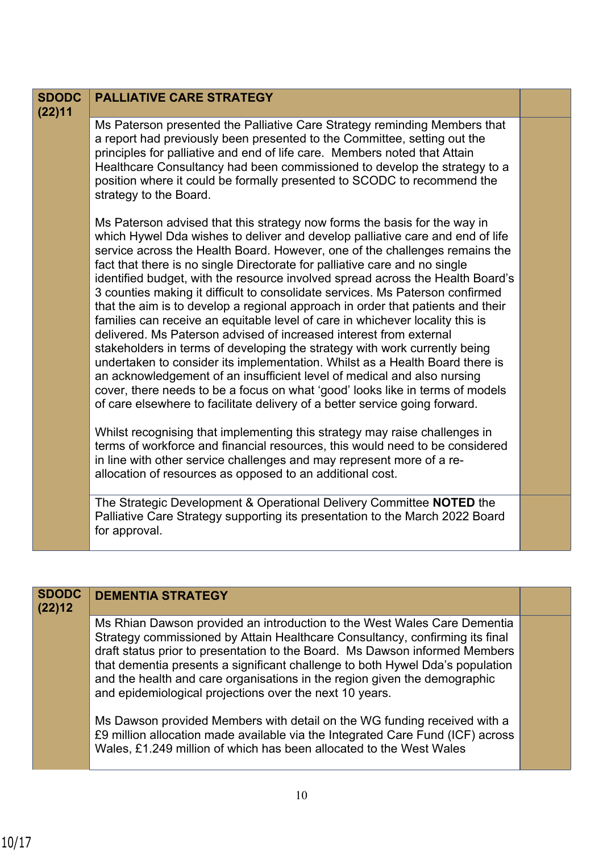| <b>SDODC</b><br>(22)11 | <b>PALLIATIVE CARE STRATEGY</b>                                                                                                                                                                                                                                                                                                                                                                                                                                                                                                                                                                                                                                                                                                                                                                                                                                                                                                                                                                                                                                                                                                                                                                                                                                                                                                                                                                                                                   |  |
|------------------------|---------------------------------------------------------------------------------------------------------------------------------------------------------------------------------------------------------------------------------------------------------------------------------------------------------------------------------------------------------------------------------------------------------------------------------------------------------------------------------------------------------------------------------------------------------------------------------------------------------------------------------------------------------------------------------------------------------------------------------------------------------------------------------------------------------------------------------------------------------------------------------------------------------------------------------------------------------------------------------------------------------------------------------------------------------------------------------------------------------------------------------------------------------------------------------------------------------------------------------------------------------------------------------------------------------------------------------------------------------------------------------------------------------------------------------------------------|--|
|                        | Ms Paterson presented the Palliative Care Strategy reminding Members that<br>a report had previously been presented to the Committee, setting out the<br>principles for palliative and end of life care. Members noted that Attain<br>Healthcare Consultancy had been commissioned to develop the strategy to a<br>position where it could be formally presented to SCODC to recommend the<br>strategy to the Board.                                                                                                                                                                                                                                                                                                                                                                                                                                                                                                                                                                                                                                                                                                                                                                                                                                                                                                                                                                                                                              |  |
|                        | Ms Paterson advised that this strategy now forms the basis for the way in<br>which Hywel Dda wishes to deliver and develop palliative care and end of life<br>service across the Health Board. However, one of the challenges remains the<br>fact that there is no single Directorate for palliative care and no single<br>identified budget, with the resource involved spread across the Health Board's<br>3 counties making it difficult to consolidate services. Ms Paterson confirmed<br>that the aim is to develop a regional approach in order that patients and their<br>families can receive an equitable level of care in whichever locality this is<br>delivered. Ms Paterson advised of increased interest from external<br>stakeholders in terms of developing the strategy with work currently being<br>undertaken to consider its implementation. Whilst as a Health Board there is<br>an acknowledgement of an insufficient level of medical and also nursing<br>cover, there needs to be a focus on what 'good' looks like in terms of models<br>of care elsewhere to facilitate delivery of a better service going forward.<br>Whilst recognising that implementing this strategy may raise challenges in<br>terms of workforce and financial resources, this would need to be considered<br>in line with other service challenges and may represent more of a re-<br>allocation of resources as opposed to an additional cost. |  |
|                        | The Strategic Development & Operational Delivery Committee NOTED the<br>Palliative Care Strategy supporting its presentation to the March 2022 Board<br>for approval.                                                                                                                                                                                                                                                                                                                                                                                                                                                                                                                                                                                                                                                                                                                                                                                                                                                                                                                                                                                                                                                                                                                                                                                                                                                                             |  |

| <b>SDODC</b><br>(22)12 | <b>DEMENTIA STRATEGY</b>                                                                                                                                                                                                                                                                                                                                                                                                                                         |  |
|------------------------|------------------------------------------------------------------------------------------------------------------------------------------------------------------------------------------------------------------------------------------------------------------------------------------------------------------------------------------------------------------------------------------------------------------------------------------------------------------|--|
|                        | Ms Rhian Dawson provided an introduction to the West Wales Care Dementia<br>Strategy commissioned by Attain Healthcare Consultancy, confirming its final<br>draft status prior to presentation to the Board. Ms Dawson informed Members<br>that dementia presents a significant challenge to both Hywel Dda's population<br>and the health and care organisations in the region given the demographic<br>and epidemiological projections over the next 10 years. |  |
|                        | Ms Dawson provided Members with detail on the WG funding received with a<br>£9 million allocation made available via the Integrated Care Fund (ICF) across<br>Wales, £1.249 million of which has been allocated to the West Wales                                                                                                                                                                                                                                |  |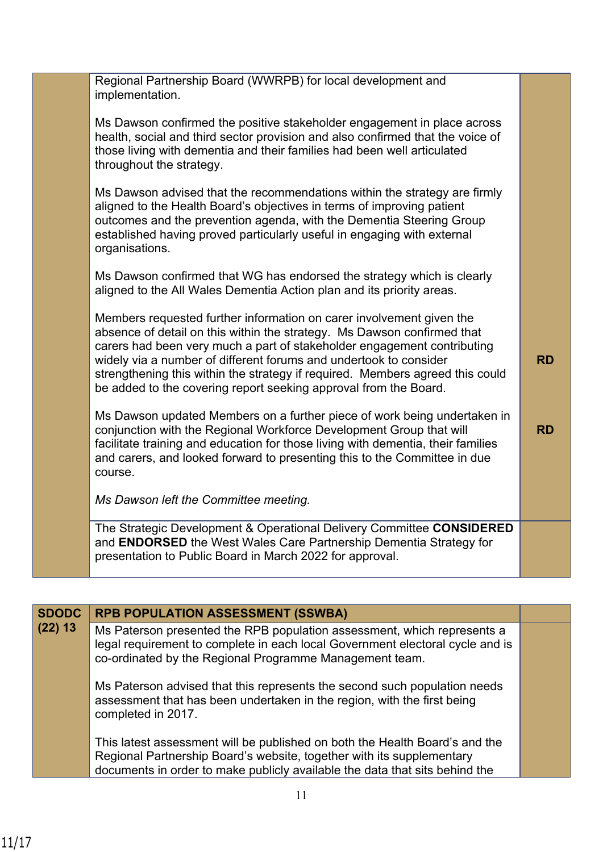| Regional Partnership Board (WWRPB) for local development and<br>implementation.                                                                                                                                                                                                                                                                                                                                                                      |           |
|------------------------------------------------------------------------------------------------------------------------------------------------------------------------------------------------------------------------------------------------------------------------------------------------------------------------------------------------------------------------------------------------------------------------------------------------------|-----------|
| Ms Dawson confirmed the positive stakeholder engagement in place across<br>health, social and third sector provision and also confirmed that the voice of<br>those living with dementia and their families had been well articulated<br>throughout the strategy.                                                                                                                                                                                     |           |
| Ms Dawson advised that the recommendations within the strategy are firmly<br>aligned to the Health Board's objectives in terms of improving patient<br>outcomes and the prevention agenda, with the Dementia Steering Group<br>established having proved particularly useful in engaging with external<br>organisations.                                                                                                                             |           |
| Ms Dawson confirmed that WG has endorsed the strategy which is clearly<br>aligned to the All Wales Dementia Action plan and its priority areas.                                                                                                                                                                                                                                                                                                      |           |
| Members requested further information on carer involvement given the<br>absence of detail on this within the strategy. Ms Dawson confirmed that<br>carers had been very much a part of stakeholder engagement contributing<br>widely via a number of different forums and undertook to consider<br>strengthening this within the strategy if required. Members agreed this could<br>be added to the covering report seeking approval from the Board. | <b>RD</b> |
| Ms Dawson updated Members on a further piece of work being undertaken in<br>conjunction with the Regional Workforce Development Group that will<br>facilitate training and education for those living with dementia, their families<br>and carers, and looked forward to presenting this to the Committee in due<br>course.                                                                                                                          | <b>RD</b> |
| Ms Dawson left the Committee meeting.                                                                                                                                                                                                                                                                                                                                                                                                                |           |
| The Strategic Development & Operational Delivery Committee CONSIDERED<br>and <b>ENDORSED</b> the West Wales Care Partnership Dementia Strategy for<br>presentation to Public Board in March 2022 for approval.                                                                                                                                                                                                                                       |           |
|                                                                                                                                                                                                                                                                                                                                                                                                                                                      |           |

| <b>SDODC</b> | <b>RPB POPULATION ASSESSMENT (SSWBA)</b>                                                                                                                                                                                            |  |
|--------------|-------------------------------------------------------------------------------------------------------------------------------------------------------------------------------------------------------------------------------------|--|
| $(22)$ 13    | Ms Paterson presented the RPB population assessment, which represents a<br>legal requirement to complete in each local Government electoral cycle and is<br>co-ordinated by the Regional Programme Management team.                 |  |
|              | Ms Paterson advised that this represents the second such population needs<br>assessment that has been undertaken in the region, with the first being<br>completed in 2017.                                                          |  |
|              | This latest assessment will be published on both the Health Board's and the<br>Regional Partnership Board's website, together with its supplementary<br>documents in order to make publicly available the data that sits behind the |  |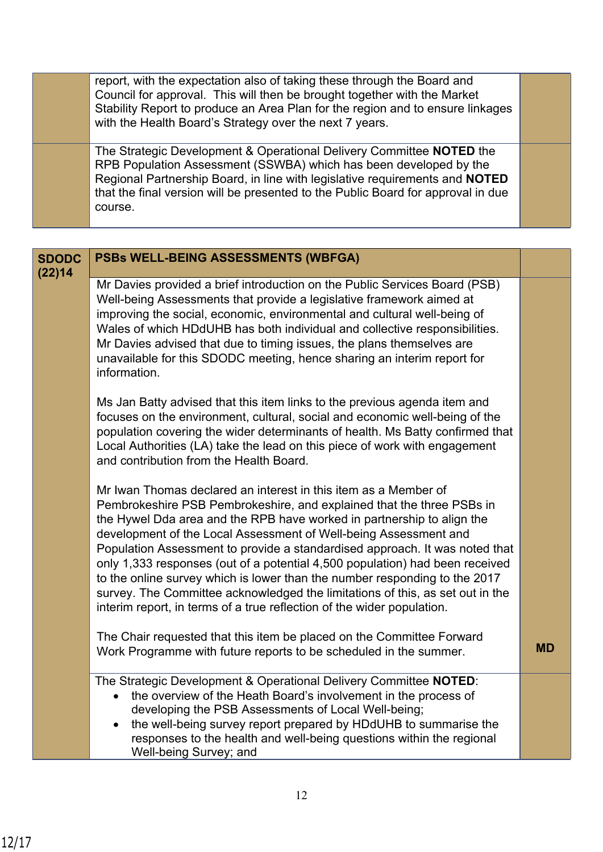| report, with the expectation also of taking these through the Board and<br>Council for approval. This will then be brought together with the Market<br>Stability Report to produce an Area Plan for the region and to ensure linkages<br>with the Health Board's Strategy over the next 7 years.                        |  |
|-------------------------------------------------------------------------------------------------------------------------------------------------------------------------------------------------------------------------------------------------------------------------------------------------------------------------|--|
| The Strategic Development & Operational Delivery Committee NOTED the<br>RPB Population Assessment (SSWBA) which has been developed by the<br>Regional Partnership Board, in line with legislative requirements and NOTED<br>that the final version will be presented to the Public Board for approval in due<br>course. |  |

| <b>SDODC</b><br>(22)14 | <b>PSBs WELL-BEING ASSESSMENTS (WBFGA)</b>                                                                                                                                                                                                                                                                                                                                                                                                                                                                                                                                                                                                                                                     |           |
|------------------------|------------------------------------------------------------------------------------------------------------------------------------------------------------------------------------------------------------------------------------------------------------------------------------------------------------------------------------------------------------------------------------------------------------------------------------------------------------------------------------------------------------------------------------------------------------------------------------------------------------------------------------------------------------------------------------------------|-----------|
|                        | Mr Davies provided a brief introduction on the Public Services Board (PSB)<br>Well-being Assessments that provide a legislative framework aimed at<br>improving the social, economic, environmental and cultural well-being of<br>Wales of which HDdUHB has both individual and collective responsibilities.<br>Mr Davies advised that due to timing issues, the plans themselves are<br>unavailable for this SDODC meeting, hence sharing an interim report for<br>information.                                                                                                                                                                                                               |           |
|                        | Ms Jan Batty advised that this item links to the previous agenda item and<br>focuses on the environment, cultural, social and economic well-being of the<br>population covering the wider determinants of health. Ms Batty confirmed that<br>Local Authorities (LA) take the lead on this piece of work with engagement<br>and contribution from the Health Board.                                                                                                                                                                                                                                                                                                                             |           |
|                        | Mr Iwan Thomas declared an interest in this item as a Member of<br>Pembrokeshire PSB Pembrokeshire, and explained that the three PSBs in<br>the Hywel Dda area and the RPB have worked in partnership to align the<br>development of the Local Assessment of Well-being Assessment and<br>Population Assessment to provide a standardised approach. It was noted that<br>only 1,333 responses (out of a potential 4,500 population) had been received<br>to the online survey which is lower than the number responding to the 2017<br>survey. The Committee acknowledged the limitations of this, as set out in the<br>interim report, in terms of a true reflection of the wider population. |           |
|                        | The Chair requested that this item be placed on the Committee Forward<br>Work Programme with future reports to be scheduled in the summer.                                                                                                                                                                                                                                                                                                                                                                                                                                                                                                                                                     | <b>MD</b> |
|                        | The Strategic Development & Operational Delivery Committee NOTED:<br>the overview of the Heath Board's involvement in the process of<br>developing the PSB Assessments of Local Well-being;<br>the well-being survey report prepared by HDdUHB to summarise the<br>responses to the health and well-being questions within the regional<br>Well-being Survey; and                                                                                                                                                                                                                                                                                                                              |           |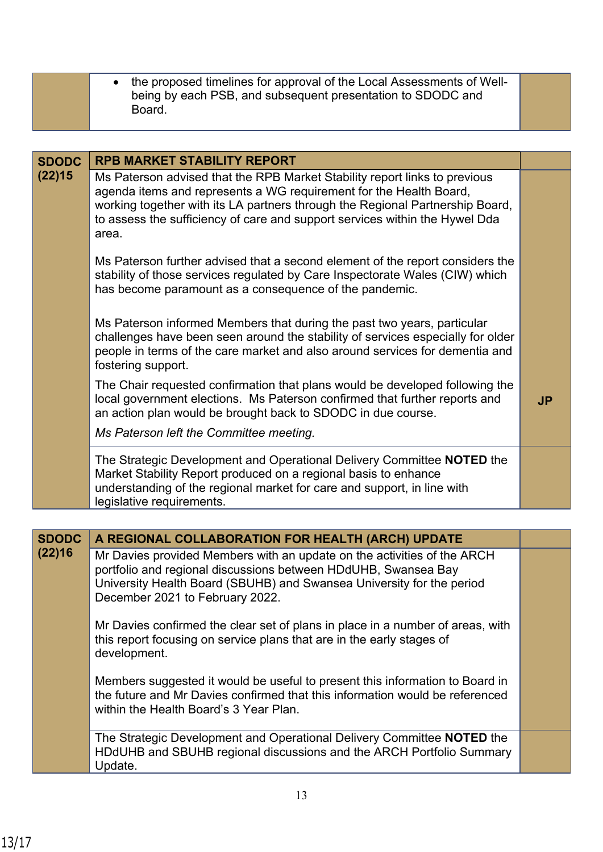|              | the proposed timelines for approval of the Local Assessments of Well-<br>being by each PSB, and subsequent presentation to SDODC and<br>Board.                                                                                                                                                                            |           |
|--------------|---------------------------------------------------------------------------------------------------------------------------------------------------------------------------------------------------------------------------------------------------------------------------------------------------------------------------|-----------|
|              |                                                                                                                                                                                                                                                                                                                           |           |
| <b>SDODC</b> | <b>RPB MARKET STABILITY REPORT</b>                                                                                                                                                                                                                                                                                        |           |
| (22)15       | Ms Paterson advised that the RPB Market Stability report links to previous<br>agenda items and represents a WG requirement for the Health Board,<br>working together with its LA partners through the Regional Partnership Board,<br>to assess the sufficiency of care and support services within the Hywel Dda<br>area. |           |
|              | Ms Paterson further advised that a second element of the report considers the<br>stability of those services regulated by Care Inspectorate Wales (CIW) which<br>has become paramount as a consequence of the pandemic.                                                                                                   |           |
|              | Ms Paterson informed Members that during the past two years, particular<br>challenges have been seen around the stability of services especially for older<br>people in terms of the care market and also around services for dementia and<br>fostering support.                                                          |           |
|              | The Chair requested confirmation that plans would be developed following the<br>local government elections. Ms Paterson confirmed that further reports and<br>an action plan would be brought back to SDODC in due course.                                                                                                | <b>JP</b> |
|              | Ms Paterson left the Committee meeting.                                                                                                                                                                                                                                                                                   |           |
|              | The Strategic Development and Operational Delivery Committee NOTED the<br>Market Stability Report produced on a regional basis to enhance<br>understanding of the regional market for care and support, in line with<br>legislative requirements.                                                                         |           |
|              |                                                                                                                                                                                                                                                                                                                           |           |
| <b>SDODC</b> | A REGIONAL COLLABORATION FOR HEALTH (ARCH) UPDATE                                                                                                                                                                                                                                                                         |           |
| (22)16       | Mr Davies provided Members with an update on the activities of the ARCH                                                                                                                                                                                                                                                   |           |

portfolio and regional discussions between HDdUHB, Swansea Bay University Health Board (SBUHB) and Swansea University for the period December 2021 to February 2022.

Mr Davies confirmed the clear set of plans in place in a number of areas, with this report focusing on service plans that are in the early stages of development.

Members suggested it would be useful to present this information to Board in the future and Mr Davies confirmed that this information would be referenced within the Health Board's 3 Year Plan.

The Strategic Development and Operational Delivery Committee **NOTED** the HDdUHB and SBUHB regional discussions and the ARCH Portfolio Summary Update.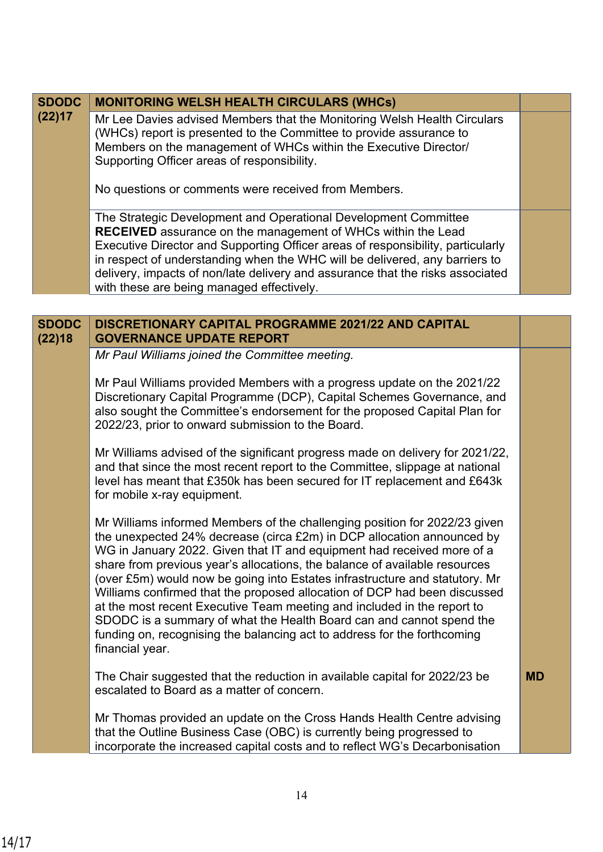| <b>SDODC</b>           | <b>MONITORING WELSH HEALTH CIRCULARS (WHCs)</b>                                                                                                                                                                                                                                                                                                                                                                                                                                                                                                                                                                                                                                                                            |           |
|------------------------|----------------------------------------------------------------------------------------------------------------------------------------------------------------------------------------------------------------------------------------------------------------------------------------------------------------------------------------------------------------------------------------------------------------------------------------------------------------------------------------------------------------------------------------------------------------------------------------------------------------------------------------------------------------------------------------------------------------------------|-----------|
| (22)17                 | Mr Lee Davies advised Members that the Monitoring Welsh Health Circulars<br>(WHCs) report is presented to the Committee to provide assurance to<br>Members on the management of WHCs within the Executive Director/<br>Supporting Officer areas of responsibility.                                                                                                                                                                                                                                                                                                                                                                                                                                                         |           |
|                        | No questions or comments were received from Members.                                                                                                                                                                                                                                                                                                                                                                                                                                                                                                                                                                                                                                                                       |           |
|                        | The Strategic Development and Operational Development Committee<br>RECEIVED assurance on the management of WHCs within the Lead<br>Executive Director and Supporting Officer areas of responsibility, particularly<br>in respect of understanding when the WHC will be delivered, any barriers to<br>delivery, impacts of non/late delivery and assurance that the risks associated<br>with these are being managed effectively.                                                                                                                                                                                                                                                                                           |           |
| <b>SDODC</b><br>(22)18 | <b>DISCRETIONARY CAPITAL PROGRAMME 2021/22 AND CAPITAL</b><br><b>GOVERNANCE UPDATE REPORT</b>                                                                                                                                                                                                                                                                                                                                                                                                                                                                                                                                                                                                                              |           |
|                        | Mr Paul Williams joined the Committee meeting.                                                                                                                                                                                                                                                                                                                                                                                                                                                                                                                                                                                                                                                                             |           |
|                        | Mr Paul Williams provided Members with a progress update on the 2021/22<br>Discretionary Capital Programme (DCP), Capital Schemes Governance, and<br>also sought the Committee's endorsement for the proposed Capital Plan for<br>2022/23, prior to onward submission to the Board.                                                                                                                                                                                                                                                                                                                                                                                                                                        |           |
|                        | Mr Williams advised of the significant progress made on delivery for 2021/22,<br>and that since the most recent report to the Committee, slippage at national<br>level has meant that £350k has been secured for IT replacement and £643k<br>for mobile x-ray equipment.                                                                                                                                                                                                                                                                                                                                                                                                                                                   |           |
|                        | Mr Williams informed Members of the challenging position for 2022/23 given<br>the unexpected 24% decrease (circa £2m) in DCP allocation announced by<br>WG in January 2022. Given that IT and equipment had received more of a<br>share from previous year's allocations, the balance of available resources<br>(over £5m) would now be going into Estates infrastructure and statutory. Mr<br>Williams confirmed that the proposed allocation of DCP had been discussed<br>at the most recent Executive Team meeting and included in the report to<br>SDODC is a summary of what the Health Board can and cannot spend the<br>funding on, recognising the balancing act to address for the forthcoming<br>financial year. |           |
|                        | The Chair suggested that the reduction in available capital for 2022/23 be<br>escalated to Board as a matter of concern.                                                                                                                                                                                                                                                                                                                                                                                                                                                                                                                                                                                                   | <b>MD</b> |
|                        | Mr Thomas provided an update on the Cross Hands Health Centre advising<br>that the Outline Business Case (OBC) is currently being progressed to<br>incorporate the increased capital costs and to reflect WG's Decarbonisation                                                                                                                                                                                                                                                                                                                                                                                                                                                                                             |           |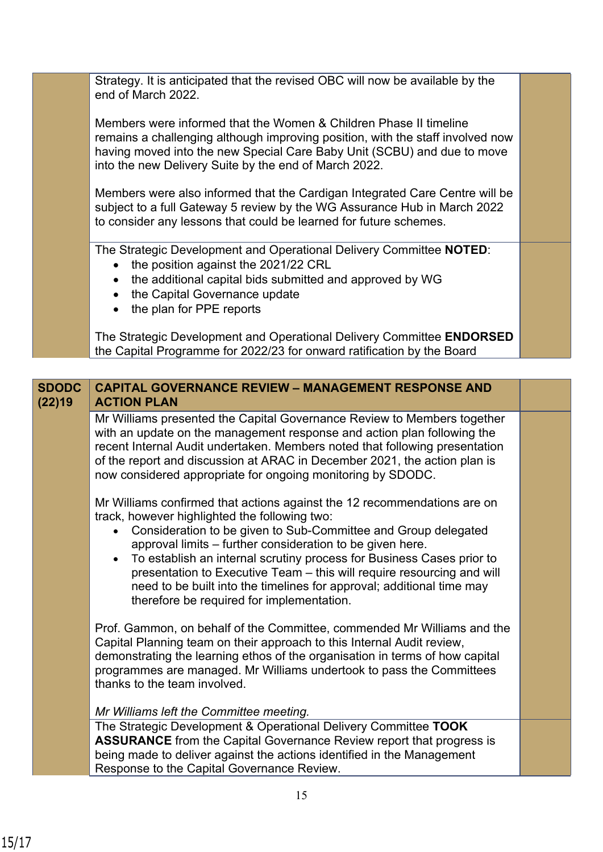Strategy. It is anticipated that the revised OBC will now be available by the end of March 2022.

Members were informed that the Women & Children Phase II timeline remains a challenging although improving position, with the staff involved now having moved into the new Special Care Baby Unit (SCBU) and due to move into the new Delivery Suite by the end of March 2022.

Members were also informed that the Cardigan Integrated Care Centre will be subject to a full Gateway 5 review by the WG Assurance Hub in March 2022 to consider any lessons that could be learned for future schemes.

The Strategic Development and Operational Delivery Committee **NOTED**:

- the position against the 2021/22 CRL
- the additional capital bids submitted and approved by WG
- the Capital Governance update
- the plan for PPE reports

The Strategic Development and Operational Delivery Committee **ENDORSED** the Capital Programme for 2022/23 for onward ratification by the Board

## **CAPITAL GOVERNANCE REVIEW – MANAGEMENT RESPONSE AND ACTION PLAN SDODC (22)19**

Mr Williams presented the Capital Governance Review to Members together with an update on the management response and action plan following the recent Internal Audit undertaken. Members noted that following presentation of the report and discussion at ARAC in December 2021, the action plan is now considered appropriate for ongoing monitoring by SDODC.

Mr Williams confirmed that actions against the 12 recommendations are on track, however highlighted the following two:

- Consideration to be given to Sub-Committee and Group delegated approval limits – further consideration to be given here.
- To establish an internal scrutiny process for Business Cases prior to presentation to Executive Team – this will require resourcing and will need to be built into the timelines for approval; additional time may therefore be required for implementation.

Prof. Gammon, on behalf of the Committee, commended Mr Williams and the Capital Planning team on their approach to this Internal Audit review, demonstrating the learning ethos of the organisation in terms of how capital programmes are managed. Mr Williams undertook to pass the Committees thanks to the team involved.

## *Mr Williams left the Committee meeting.*

The Strategic Development & Operational Delivery Committee **TOOK ASSURANCE** from the Capital Governance Review report that progress is being made to deliver against the actions identified in the Management Response to the Capital Governance Review.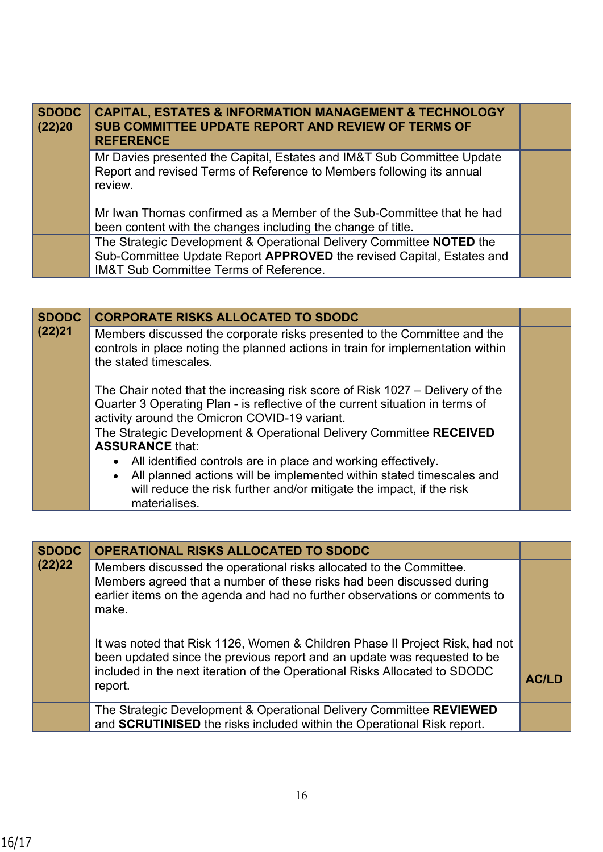| <b>SDODC</b><br>(22)20 | <b>CAPITAL, ESTATES &amp; INFORMATION MANAGEMENT &amp; TECHNOLOGY</b><br>SUB COMMITTEE UPDATE REPORT AND REVIEW OF TERMS OF<br><b>REFERENCE</b>                                         |  |
|------------------------|-----------------------------------------------------------------------------------------------------------------------------------------------------------------------------------------|--|
|                        | Mr Davies presented the Capital, Estates and IM&T Sub Committee Update<br>Report and revised Terms of Reference to Members following its annual<br>review.                              |  |
|                        | Mr Iwan Thomas confirmed as a Member of the Sub-Committee that he had<br>been content with the changes including the change of title.                                                   |  |
|                        | The Strategic Development & Operational Delivery Committee NOTED the<br>Sub-Committee Update Report APPROVED the revised Capital, Estates and<br>IM&T Sub Committee Terms of Reference. |  |

| <b>SDODC</b> | <b>CORPORATE RISKS ALLOCATED TO SDODC</b>                                                                                                                                                                                                                |  |
|--------------|----------------------------------------------------------------------------------------------------------------------------------------------------------------------------------------------------------------------------------------------------------|--|
| (22)21       | Members discussed the corporate risks presented to the Committee and the<br>controls in place noting the planned actions in train for implementation within<br>the stated timescales.                                                                    |  |
|              | The Chair noted that the increasing risk score of Risk 1027 – Delivery of the<br>Quarter 3 Operating Plan - is reflective of the current situation in terms of<br>activity around the Omicron COVID-19 variant.                                          |  |
|              | The Strategic Development & Operational Delivery Committee RECEIVED<br><b>ASSURANCE that:</b>                                                                                                                                                            |  |
|              | All identified controls are in place and working effectively.<br>$\bullet$<br>All planned actions will be implemented within stated timescales and<br>$\bullet$<br>will reduce the risk further and/or mitigate the impact, if the risk<br>materialises. |  |

| <b>SDODC</b> | OPERATIONAL RISKS ALLOCATED TO SDODC                                                                                                                                                                                                              |              |
|--------------|---------------------------------------------------------------------------------------------------------------------------------------------------------------------------------------------------------------------------------------------------|--------------|
| (22)22       | Members discussed the operational risks allocated to the Committee.<br>Members agreed that a number of these risks had been discussed during<br>earlier items on the agenda and had no further observations or comments to<br>make.               |              |
|              | It was noted that Risk 1126, Women & Children Phase II Project Risk, had not<br>been updated since the previous report and an update was requested to be<br>included in the next iteration of the Operational Risks Allocated to SDODC<br>report. | <b>AC/LD</b> |
|              | The Strategic Development & Operational Delivery Committee REVIEWED<br>and SCRUTINISED the risks included within the Operational Risk report.                                                                                                     |              |